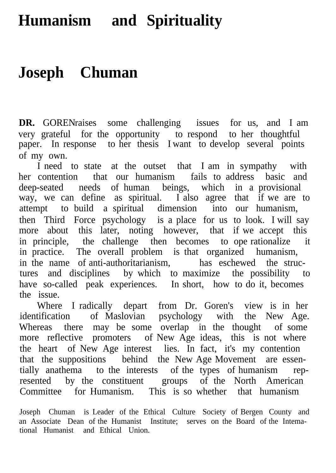## **Humanism and Spirituality**

## **Joseph Chuman**

**DR.** GORENraises some challenging issues for us, and I am very grateful for the opportunity to respond to her thoughtful paper. In response to her thesis I want to develop several points of my own.

I need to state at the outset that I am in sympathy with her contention that our humanism fails to address basic and deep-seated needs of human beings, which in a provisional way, we can define as spiritual. I also agree that if we are to attempt to build a spiritual dimension into our humanism, then Third Force psychology is a place for us to look. I will say more about this later, noting however, that if we accept this in principle, the challenge then becomes to ope rationalize it in practice. The overall problem is that organized humanism, in the name of anti-authoritarianism, has eschewed the structures and disciplines by which to maximize the possibility to have so-called peak experiences. In short, how to do it, becomes the issue.

Where I radically depart from Dr. Goren's view is in her identification of Maslovian psychology with the New Age. Whereas there may be some overlap in the thought of some more reflective promoters of New Age ideas, this is not where the heart of New Age interest lies. In fact, it's my contention that the suppositions behind the New Age Movement are essentially anathema to the interests of the types of humanism represented by the constituent groups of the North American Committee for Humanism. This is so whether that humanism

Joseph Chuman is Leader of the Ethical Culture Society of Bergen County and an Associate Dean of the Humanist Institute; serves on the Board of the Intemational Humanist and Ethical Union.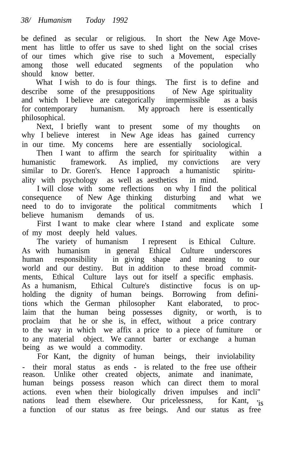be defined as secular or religious. In short the New Age Movement has little to offer us save to shed light on the social crises of our times which give rise to such a Movement, especially among those well educated segments of the population who should know better.

What I wish to do is four things. The first is to define and describe some of the presuppositions of New Age spirituality and which I believe are categorically impermissible as a basis for contemporary humanism. My approach here is essentically philosophical.

Next, I briefly want to present some of my thoughts on why I believe interest in New Age ideas has gained currency in our time. My concems here are essentially sociological.

Then I want to affirm the search for spirituality within a humanistic framework. As implied, my convictions are very similar to Dr. Goren's. Hence I approach a humanistic spirituality with psychology as well as aesthetics in mind.

I will close with some reflections on why I find the political consequence of New Age thinking disturbing and what we need to do to invigorate the political commitments which I believe humanism demands of us.

First I want to make clear where I stand and explicate some of my most deeply held values.

The variety of humanism I represent is Ethical Culture. As with humanism in general Ethical Culture underscores human responsibility in giving shape and meaning to our world and our destiny. But in addition to these broad commitments, Ethical Culture lays out for itself a specific emphasis. As a humanism, Ethical Culture's distinctive focus is on upholding the dignity of human beings. Borrowing from definitions which the German philosopher Kant elaborated, to proclaim that the human being possesses dignity, or worth, is to proclaim that he or she is, in effect, without a price contrary to the way in which we affix a price to a piece of fumiture or to any material object. We cannot barter or exchange a human being as we would a commodity.

For Kant, the dignity of human beings, their inviolability - their moral status as ends - is related to the free use oftheir reason. Unlike other created objects, animate and inanimate, human beings possess reason which can direct them to moral actions. even when their biologically driven impulses and incli" nations lead them elsewhere. Our pricelessness, for Kant, 'is<br>a function of our status as free beings. And our status as free a function of our status as free beings. And our status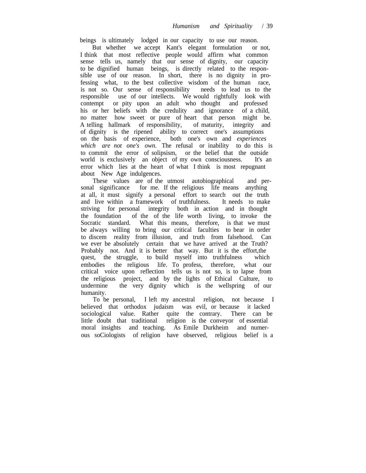beings is ultimately lodged in our capacity to use our reason.

But whether we accept Kant's elegant formulation or not, I think that most reflective people would affirm what common sense tells us, namely that our sense of dignity, our capacity to be dignified human beings, is directly related to the responsible use of our reason. In short, there is no dignity in professing what, to the best collective wisdom of the human race, is not so. Our sense of responsibility needs to lead us to the responsible use of our intellects. We would rightfully look with contempt or pity upon an adult who thought and professed his or her beliefs with the credulity and ignorance of a child, no matter how sweet or pure of heart that person might be. A telling hallmark of responsibility, of maturity, integrity and of dignity is the ripened ability to correct one's assumptions on the basis of experience, both one's own and *experiences which are not one's own.* The refusal or inability to do this is to commit the error of solipsism, or the belief that the outside world is exclusively an object of my own consciousness. It's an error which lies at the heart of what I think is most repugnant about New Age indulgences.

These values are of the utmost autobiographical and personal significance for me. If the religious life means anything at all, it must signify a personal effort to search out the truth and live within a framework of truthfulness. It needs to make striving for personal integrity both in action and in thought the foundation of the of the life worth living, to invoke the Socratic standard. What this means, therefore, is that we must be always willing to bring our critical faculties to bear in order to discem reality from illusion, and truth from falsehood. Can we ever be absolutely certain that we have arrived at the Truth? Probably not. And it is better that way. But it is the effort,the quest, the struggle, to build myself into truthfulness embodies the religious life. To profess, therefore, what our critical voice upon reflection tells us is not so, is to lapse from the religious project, and by the lights of Ethical Culture, to undermine the very dignity which is the wellspring of our the very dignity which is the wellspring of our humanity.

To be personal, I left my ancestral religion, not because I believed that orthodox judaism was evil, or because it lacked sociological value. Rather quite the contrary. There can be little doubt that traditional religion is the conveyor of essential moral insights and teaching. As Emile Durkheim and numerous soCiologists of religion have observed, religious belief is a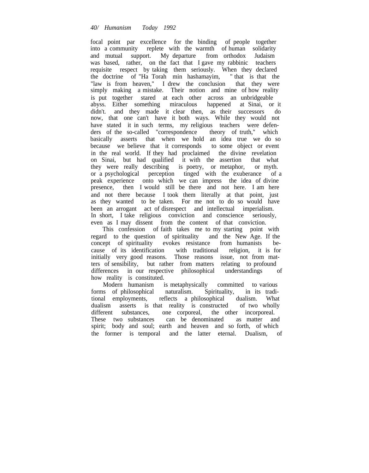focal point par excellence for the binding of people together into a community replete with the warmth of human solidarity and mutual support. My departure from orthodox Judaism was based, rather, on the fact that I gave my rabbinic teachers requisite respect by taking them seriously. When they declared the doctrine of "Ha Torah min hashamayim, " that is that the "law is from heaven," I drew the conclusion that they were simply making a mistake. Their notion and mine of how reality is put together stared at each other across an unbridgeable abyss. Either something miraculous happened at Sinai, or it didn't. and they made it clear then, as their successors do now, that one can't have it both ways. While they would not have stated it in such terms, my religious teachers were defenders of the so-called "correspondence theory of truth," which basically asserts that when we hold an idea true we do so because we believe that it corresponds to some object or event in the real world. If they had proclaimed the divine revelation on Sinai, but had qualified it with the assertion that what they were really describing is poetry, or metaphor, or myth. or a psychological perception tinged with the exuberance of a peak experience onto which we can impress the idea of divine presence, then I would still be there and not here. I am here and not there because I took them literally at that point, just as they wanted to be taken. For me not to do so would have been an arrogant act of disrespect and intellectual imperialism. In short, I take religious conviction and conscience seriously, even as I may dissent from the content of that conviction.

This confession of faith takes me to my starting point with regard to the question of spirituality and the New Age. If the concept of spirituality evokes resistance from humanists because of its identification with traditional religion, it is for initially very good reasons. Those reasons issue, not from matters of sensibility, but rather from matters relating to profound differences in our respective philosophical understandings of how reality is constituted.

Modern humanism is metaphysically committed to various forms of philosophical naturalism. Spirituality, in its traditional employments, reflects a philosophical dualism. What dualism asserts is that reality is constructed of two wholly different substances, one corporeal, the other incorporeal. one corporeal, the other incorporeal. These two substances can be denominated as matter and spirit; body and soul; earth and heaven and so forth, of which the former is temporal and the latter eternal. Dualism, of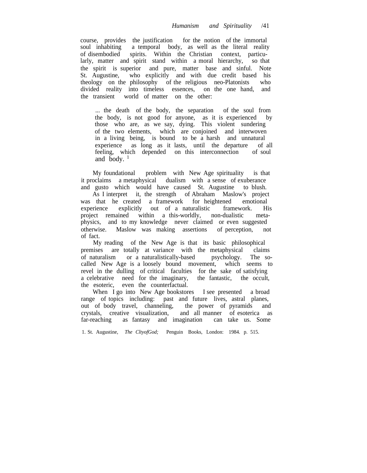course, provides the justification for the notion of the immortal soul inhabiting a temporal body, as well as the literal reality of disembodied spirits. Within the Christian context, particularly, matter and spirit stand within a moral hierarchy, so that the spirit is superior and pure, matter base and sinful. Note St. Augustine, who explicitly and with due credit based his theology on the philosophy of the religious neo-Platonists who divided reality into timeless essences, on the one hand, and the transient world of matter on the other:

... the death of the body, the separation of the soul from the body, is not good for anyone, as it is experienced by those who are, as we say, dying. This violent sundering of the two elements, which are conjoined and interwoven in a living being, is bound to be a harsh and unnatural experience as long as it lasts, until the departure of all feeling, which depended on this interconnection of soul and body.  $\frac{1}{1}$ 

My foundational problem with New Age spirituality is that it proclaims a metaphysical dualism with a sense of exuberance and gusto which would have caused St. Augustine to blush.

As I interpret it, the strength of Abraham Maslow's project was that he created a framework for heightened emotional experience explicitly out of a naturalistic framework. His project remained within a this-worldly, non-dualistic metaphysics, and to my knowledge never claimed or even suggested otherwise. Maslow was making assertions of perception, not of fact.

My reading of the New Age is that its basic philosophical premises are totally at variance with the metaphysical claims of naturalism or a naturalistically-based psychology. The socalled New Age is a loosely bound movement, which seems to revel in the dulling of critical faculties for the sake of satisfying a celebrative need for the imaginary, the fantastic, the occult, the esoteric, even the counterfactual.

When I go into New Age bookstores I see presented a broad range of topics including: past and future lives, astral planes, out of body travel, channeling, the power of pyramids and crystals, creative visualization, and all manner of esoterica as far-reaching as fantasy and imagination

1. St. Augustine, *The CltyofGod;* Penguin Books, London: 1984. p. 515.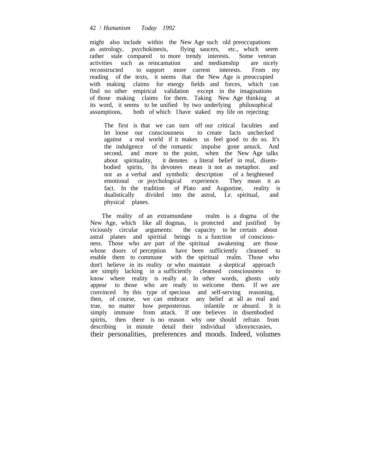## 42 / *Humanism Today 1992*

might also include within the New Age such old preoccupations as astrology, psychokinesis, flying saucers, etc., which seem rather stale compared to more trendy interests. Some veteran<br>activities such as reincamation and mediumship are nicely activities such as reincamation and mediumship are nicely reconstructed to support more current interests. From my reading of the texts, it seems that the New Age is preoccupied with making claims for energy fields and forces, which can find no other empirical validation except in the imaginations of those making claims for them. Taking New Age thinking at its word, it seems to be unified by two underlying philosophical assumptions, both of which I have staked my life on rejecting:

The first is that we can turn off our critical faculties and let loose our consciousness to create facts unchecked against a real world if it makes us feel good to do so. It's the indulgence of the romantic impulse gone amuck. And second, and more to the point, when the New Age talks about spirituality, it denotes a literal belief in real, disembodied spirits, Its devotees mean it not as metaphor. and not as a verbal and symbolic description of a heightened emotional or psychological experience. They mean it as fact. In the tradition of Plato and Augustine, reality is dualistically divided into the astral, I.e. spiritual, and physical planes.

The reality of an extramundane realm is a dogma of the New Age, which like all dogmas, is protected and justified by viciously circular arguments: the capacity to be certain about astral planes and spiritial beings is a function of consciousness. Those who are part of the spiritual awakening are those whose doors of perception have been sufficiently cleansed to enable them to commune with the spiritual realm. Those who don't believe in its reality or who maintain a skeptical approach are simply lacking in a sufficiently cleansed consciousness to know where reality is really at. In other words, ghosts only appear to those who are ready to welcome them. If we are convinced by this type of specious and self-serving reasoning, then, of course, we can embrace any belief at all as real and true, no matter how preposterous. infantile or absurd. It is simply immune from attack. If one believes in disembodied spirits, then there is no reason why one should refrain from describing in minute detail their individual idiosyncrasies, their personalities, preferences and moods. Indeed, volumes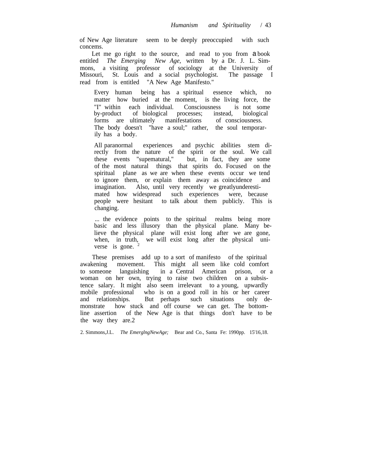of New Age literature seem to be deeply preoccupied with such concems.

Let me go right to the source, and read to you from a book entitled *The Emerging New Age,* written by a Dr. J. L. Simmons, a visiting professor of sociology at the University of Missouri, St. Louis and a social psychologist. The passage I read from is entitled "A New Age Manifesto."

Every human being has a spiritual essence which, no matter how buried at the moment, is the living force, the "I" within each individual. Consciousness is not some by-product of biological processes: instead, biological of biological processes; forms are ultimately manifestations of consciousness. The body doesn't "have a soul;" rather, the soul temporarily has a body.

All paranormal experiences and psychic abilities stem directly from the nature of the spirit or the soul. We call these events "supematural," but, in fact, they are some of the most natural things that spirits do. Focused on the spiritual plane as we are when these events occur we tend to ignore them, or explain them away as coincidence and imagination. Also, until very recently we greatlyunderestimated how widespread such experiences were, because people were hesitant to talk about them publicly. This is changing.

... the evidence points to the spiritual realms being more basic and less illusory than the physical plane. Many believe the physical plane will exist long after we are gone, when, in truth, we will exist long after the physical universe is gone.

These premises add up to a sort of manifesto of the spiritual awakening movement. This might all seem like cold comfort to someone languishing in a Central American prison, or a woman on her own, trying to raise two children on a subsistence salary. It might also seem irrelevant to a young, upwardly mobile professional who is on a good roll in his or her career and relationships. But perhaps such situations only demonstrate how stuck and off course we can get. The bottomline assertion of the New Age is that things don't have to be the way they are.2

2. Simmons,J.L. *The EmerglngNewAge;* Bear and Co., Santa Fe: 1990pp. 15'16,18.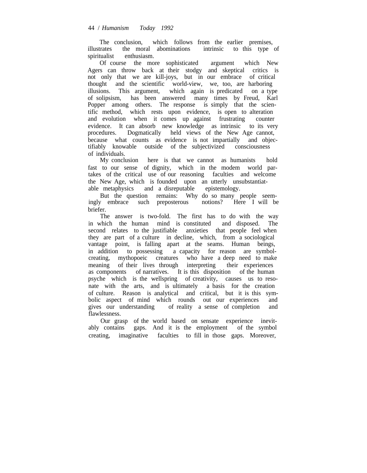The conclusion, which follows from the earlier premises, illustrates the moral abominations intrinsic to this type of spiritualist enthusiasm.

Of course the more sophisticated argument which New Agers can throw back at their stodgy and skeptical critics is not only that we are kill-joys, but in our embrace of critical thought and the scientific world-view, we, too, are harboring illusions. This argument, which again is predicated on a type of solipsism, has been answered many times by Freud, Karl Popper among others. The response is simply that the scientific method, which rests upon evidence, is open to alteration and evolution when it comes up against frustrating counter evidence. It can absorb new knowledge as intrinsic to its very procedures. Dogmatically held views of the New Age cannot, because what counts as evidence is not impartially and objectifiably knowable outside of the subjectivized consciousness of individuals.

My conclusion here is that we cannot as humanists hold fast to our sense of dignity, which in the modem world partakes of the critical use of our reasoning faculties and welcome the New Age, which is founded upon an utterly unsubstantiatable metaphysics and a disreputable epistemology. and a disreputable epistemology.

But the question remains: Why do so many people seemingly embrace such preposterous notions? Here I will be briefer.

The answer is two-fold. The first has to do with the way in which the human mind is constituted and disposed. The second relates to the justifiable anxieties that people feel when they are part of a culture in decline, which, from a sociological vantage point, is falling apart at the seams. Human beings, in addition to possessing a capacity for reason are symbolcreating, mythopoeic creatures who have a deep need to make meaning of their lives through interpreting their experiences as components of narratives. It is this disposition of the human psyche which is the wellspring of creativity, causes us to resonate with the arts, and is ultimately a basis for the creation of culture. Reason is analytical and critical, but it is this symbolic aspect of mind which rounds out our experiences and gives our understanding of reality a sense of completion and flawlessness.

Our grasp of the world based on sensate experience inevitably contains gaps. And it is the employment of the symbol creating, imaginative faculties to fill in those gaps. Moreover,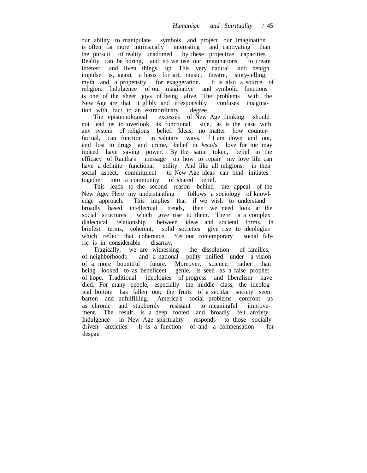our ability to manipulate symbols and project our imagination is often far more intrinsically interesting and captivating than the pursuit of reality unadomed by these projective capacities. Reality can be boring, and so we use our imaginations to create interest and liven things up. This very natural and benign impulse is, again, a basis for art, music, theatre, story-telling, myth and a propensity for exaggeration. It is also a source of religion. Indulgence of our imaginative and symbolic functions is one of the sheer joys of being alive. The problems with the New Age are that it glibly and irresponsibly confuses imagination with fact to an extraordinary degree.

The epistemological excesses of New Age thinking should not lead us to overlook its functional side, as is the case with any system of religious belief. Ideas, no matter how counterfactual, can function in salutary ways. If I am down and out, and lost to drugs and crime, belief in Jesus's love for me may indeed have saving power. By the same token, belief in the efficacy of Rantha's message on how to repair my love life can have a definite functional utility. And like all religions, in their social aspect, commitment to New Age ideas can bind initiates together into a community of shared belief.

This leads to the second reason behind the appeal of the New Age. Here my understanding follows a sociology of knowledge approach. This implies that if we wish to understand broadly based intellectual trends, then we need look at the social structures which give rise to them. There is a complex dialectical relationship between ideas and societal forms. In briefest terms, coherent, solid societies give rise to ideologies which reflect that coherence. Yet our contemporary social fabric is in considerable disarray.

Tragically, we are witnessing the dissolution of families, of neighborhoods and a national polity unified under a vision of a more bountiful future. Moreover, science, rather than being looked to as beneficent genie, is seen as a false prophet of hope. Traditional ideologies of progress and liberalism have died. For many people, especially the middle class, the ideological bottom has fallen out; the fruits of a secular society seem barren and unfulfilling. America's social problems confront us as chronic and stubbornly resistant to meaningful improvement. The result is a deep rooted and broadly felt anxiety. Indulgence in New Age spirituality responds to those socially driven anxieties. It is a function of and a compensation for despair.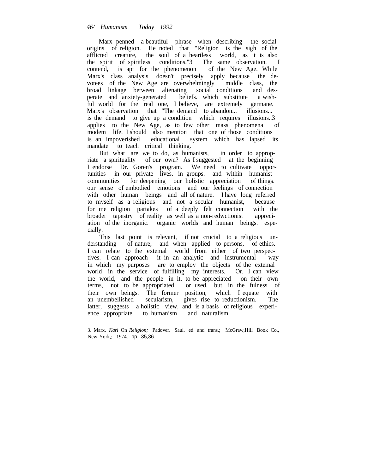Marx penned a beautiful phrase when describing the social origins of religion. He noted that "Religion is the sigh of the afflicted creature, the soul of a heartless world, as it is also the spirit of spiritless conditions."3 The same observation, I contend, is apt for the phenomenon of the New Age. While Marx's class analysis doesn't precisely apply because the devotees of the New Age are overwhelmingly middle class, the broad linkage between alienating social conditions and desperate and anxiety-generated beliefs. which substitute a wishful world for the real one, I believe, are extremely germane. Marx's observation that "The demand to abandon... illusions... is the demand to give up a condition which requires illusions..3 applies to the New Age, as to few other mass phenomena of modem life. I should also mention that one of those conditions is an impoverished educational system which has lapsed its mandate to teach critical thinking.

But what are we to do, as humanists, in order to appropriate a spirituality of our own? As I suggested at the beginning I endorse Dr. Goren's program. We need to cultivate opportunities in our private lives. in groups. and within humanist communities for deepening our holistic appreciation of things. our sense of embodied emotions and our feelings of connection with other human beings and all of nature. I have long referred to myself as a religious and not a secular humanist, because for me religion partakes of a deeply felt connection with the broader tapestry of reality as well as a non-redwctionist appreciation of the inorganic. organic worlds and human beings. especially.

This last point is relevant, if not crucial to a religious understanding of nature, and when applied to persons, of ethics. I can relate to the extemal world from either of two perspectives. I can approach it in an analytic and instrumental way in which my purposes are to employ the objects of the extemal world in the service of fulfilling my interests. Or, I can view the world, and the people in it, to be appreciated on their own terms, not to be appropriated or used, but in the fulness of their own beings. The former position, which I equate with an unembellished secularism, gives rise to reductionism. The latter, suggests a holistic view, and is a basis of religious experience appropriate to humanism and naturalism.

<sup>3.</sup> Marx. *Karl* On *Rellglon;* Padover. Saul. ed. and trans.; McGraw,Hill Book Co., New York,; 1974. pp. 35,36.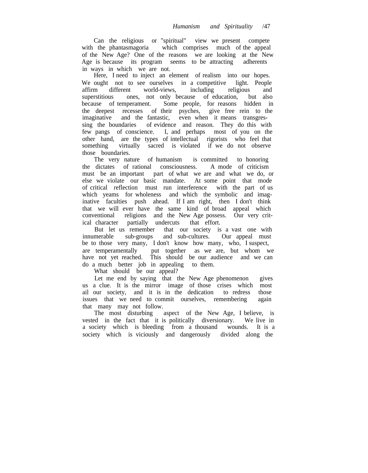Can the religious or "spiritual" view we present compete with the phantasmagoria which comprises much of the appeal of the New Age? One of the reasons we are looking at the New Age is because its program seems to be attracting adherents in ways in which we are not.

Here, I need to inject an element of realism into our hopes. We ought not to see ourselves in a competitive light. People affirm different world-views, including religious and superstitious ones, not only because of education, but also because of temperament. Some people, for reasons hidden in the deepest recesses of their psyches, give free rein to the imaginative and the fantastic, even when it means transgressing the boundaries of evidence and reason. They do this with few pangs of conscience. I, and perhaps most of you on the other hand, are the types of intellectual rigorists who feel that something virtually sacred is violated if we do not observe those boundaries.

The very nature of humanism is committed to honoring<br>dictates of rational consciousness. A mode of criticism the dictates of rational consciousness. must be an important part of what we are and what we do, or else we violate our basic mandate. At some point that mode of critical reflection must run interference with the part of us which yeams for wholeness and which the symbolic and imaginative faculties push ahead. If I am right, then I don't think that we will ever have the same kind of broad appeal which conventional religions and the New Age possess. Our very critical character partially undercuts that effort.

But let us remember that our society is a vast one with innumerable sub-groups and sub-cultures. Our appeal must be to those very many, I don't know how many, who, I suspect, are temperamentally put together as we are, but whom we have not yet reached. This should be our audience and we can do a much better job in appealing to them.

What should be our appeal?

Let me end by saying that the New Age phenomenon gives us a clue. It is the mirror image of those crises which most ail our society, and it is in the dedication to redress those issues that we need to commit ourselves, remembering again that many may not follow.

The most disturbing aspect of the New Age, I believe, is vested in the fact that it is politically diversionary. We live in a society which is bleeding from a thousand wounds. It is a society which is viciously and dangerously divided along the